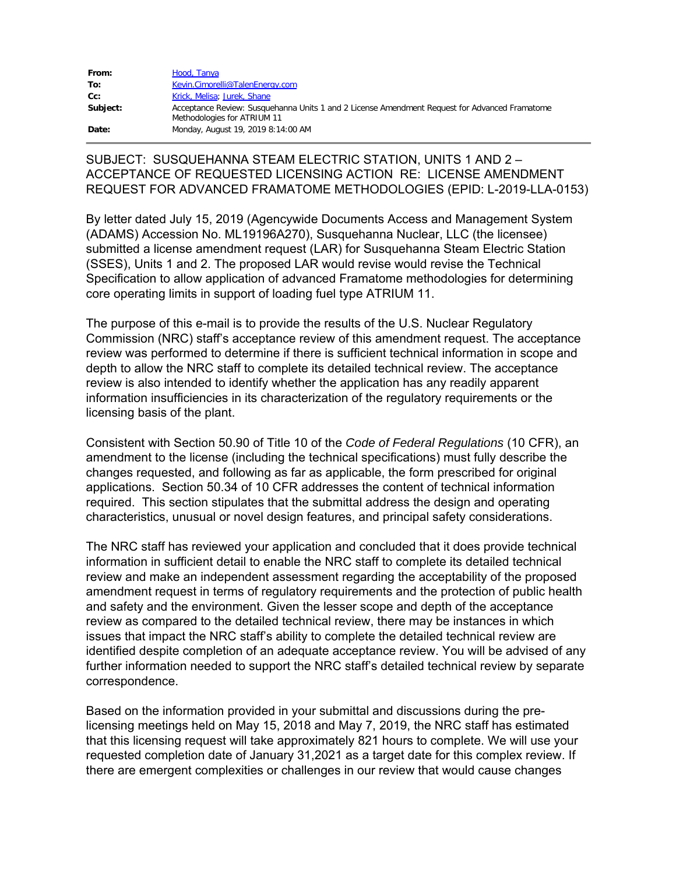| From:    | Hood, Tanya                                                                                                                  |
|----------|------------------------------------------------------------------------------------------------------------------------------|
| To:      | Kevin.Cimorelli@TalenEnergy.com                                                                                              |
| Cc:      | Krick, Melisa; Jurek, Shane                                                                                                  |
| Subject: | Acceptance Review: Susquehanna Units 1 and 2 License Amendment Request for Advanced Framatome<br>Methodologies for ATRIUM 11 |
| Date:    | Monday, August 19, 2019 8:14:00 AM                                                                                           |

## SUBJECT: SUSQUEHANNA STEAM ELECTRIC STATION, UNITS 1 AND 2 – ACCEPTANCE OF REQUESTED LICENSING ACTION RE: LICENSE AMENDMENT REQUEST FOR ADVANCED FRAMATOME METHODOLOGIES (EPID: L-2019-LLA-0153)

By letter dated July 15, 2019 (Agencywide Documents Access and Management System (ADAMS) Accession No. ML19196A270), Susquehanna Nuclear, LLC (the licensee) submitted a license amendment request (LAR) for Susquehanna Steam Electric Station (SSES), Units 1 and 2. The proposed LAR would revise would revise the Technical Specification to allow application of advanced Framatome methodologies for determining core operating limits in support of loading fuel type ATRIUM 11.

The purpose of this e-mail is to provide the results of the U.S. Nuclear Regulatory Commission (NRC) staff's acceptance review of this amendment request. The acceptance review was performed to determine if there is sufficient technical information in scope and depth to allow the NRC staff to complete its detailed technical review. The acceptance review is also intended to identify whether the application has any readily apparent information insufficiencies in its characterization of the regulatory requirements or the licensing basis of the plant.

Consistent with Section 50.90 of Title 10 of the *Code of Federal Regulations* (10 CFR), an amendment to the license (including the technical specifications) must fully describe the changes requested, and following as far as applicable, the form prescribed for original applications. Section 50.34 of 10 CFR addresses the content of technical information required. This section stipulates that the submittal address the design and operating characteristics, unusual or novel design features, and principal safety considerations.

The NRC staff has reviewed your application and concluded that it does provide technical information in sufficient detail to enable the NRC staff to complete its detailed technical review and make an independent assessment regarding the acceptability of the proposed amendment request in terms of regulatory requirements and the protection of public health and safety and the environment. Given the lesser scope and depth of the acceptance review as compared to the detailed technical review, there may be instances in which issues that impact the NRC staff's ability to complete the detailed technical review are identified despite completion of an adequate acceptance review. You will be advised of any further information needed to support the NRC staff's detailed technical review by separate correspondence.

Based on the information provided in your submittal and discussions during the prelicensing meetings held on May 15, 2018 and May 7, 2019, the NRC staff has estimated that this licensing request will take approximately 821 hours to complete. We will use your requested completion date of January 31,2021 as a target date for this complex review. If there are emergent complexities or challenges in our review that would cause changes